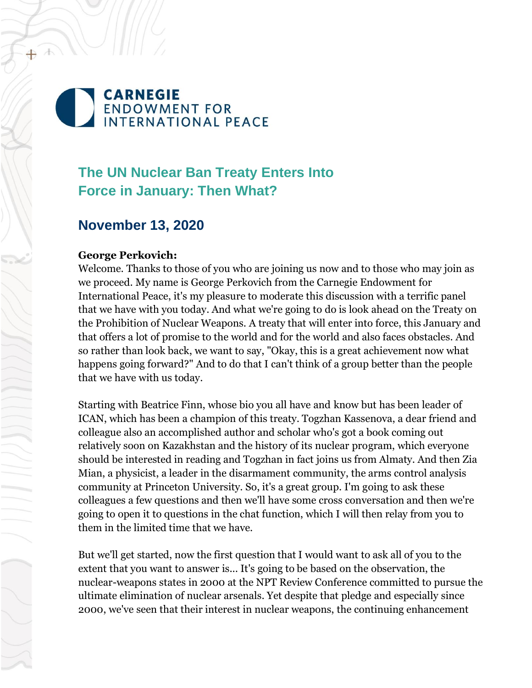# **CARNEGIE ENDOWMENT FOR INTERNATIONAL PEACE**

# **The UN Nuclear Ban Treaty Enters Into Force in January: Then What?**

# **November 13, 2020**

#### **George Perkovich:**

Welcome. Thanks to those of you who are joining us now and to those who may join as we proceed. My name is George Perkovich from the Carnegie Endowment for International Peace, it's my pleasure to moderate this discussion with a terrific panel that we have with you today. And what we're going to do is look ahead on the Treaty on the Prohibition of Nuclear Weapons. A treaty that will enter into force, this January and that offers a lot of promise to the world and for the world and also faces obstacles. And so rather than look back, we want to say, "Okay, this is a great achievement now what happens going forward?" And to do that I can't think of a group better than the people that we have with us today.

Starting with Beatrice Finn, whose bio you all have and know but has been leader of ICAN, which has been a champion of this treaty. Togzhan Kassenova, a dear friend and colleague also an accomplished author and scholar who's got a book coming out relatively soon on Kazakhstan and the history of its nuclear program, which everyone should be interested in reading and Togzhan in fact joins us from Almaty. And then Zia Mian, a physicist, a leader in the disarmament community, the arms control analysis community at Princeton University. So, it's a great group. I'm going to ask these colleagues a few questions and then we'll have some cross conversation and then we're going to open it to questions in the chat function, which I will then relay from you to them in the limited time that we have.

But we'll get started, now the first question that I would want to ask all of you to the extent that you want to answer is... It's going to be based on the observation, the nuclear-weapons states in 2000 at the NPT Review Conference committed to pursue the ultimate elimination of nuclear arsenals. Yet despite that pledge and especially since 2000, we've seen that their interest in nuclear weapons, the continuing enhancement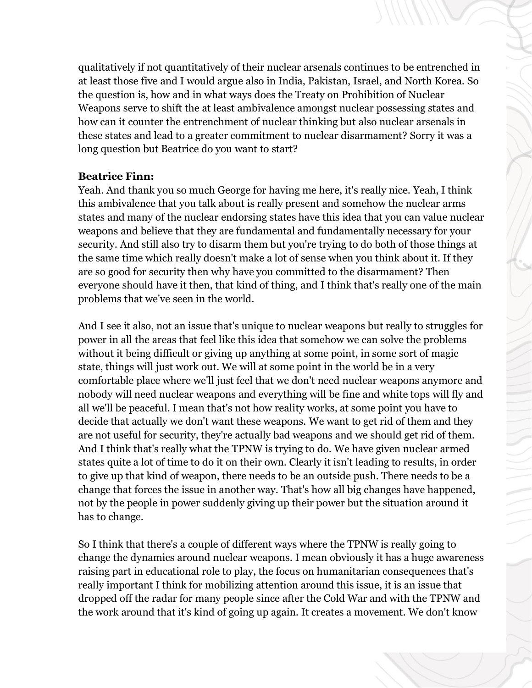qualitatively if not quantitatively of their nuclear arsenals continues to be entrenched in at least those five and I would argue also in India, Pakistan, Israel, and North Korea. So the question is, how and in what ways does the Treaty on Prohibition of Nuclear Weapons serve to shift the at least ambivalence amongst nuclear possessing states and how can it counter the entrenchment of nuclear thinking but also nuclear arsenals in these states and lead to a greater commitment to nuclear disarmament? Sorry it was a long question but Beatrice do you want to start?

#### **Beatrice Finn:**

Yeah. And thank you so much George for having me here, it's really nice. Yeah, I think this ambivalence that you talk about is really present and somehow the nuclear arms states and many of the nuclear endorsing states have this idea that you can value nuclear weapons and believe that they are fundamental and fundamentally necessary for your security. And still also try to disarm them but you're trying to do both of those things at the same time which really doesn't make a lot of sense when you think about it. If they are so good for security then why have you committed to the disarmament? Then everyone should have it then, that kind of thing, and I think that's really one of the main problems that we've seen in the world.

And I see it also, not an issue that's unique to nuclear weapons but really to struggles for power in all the areas that feel like this idea that somehow we can solve the problems without it being difficult or giving up anything at some point, in some sort of magic state, things will just work out. We will at some point in the world be in a very comfortable place where we'll just feel that we don't need nuclear weapons anymore and nobody will need nuclear weapons and everything will be fine and white tops will fly and all we'll be peaceful. I mean that's not how reality works, at some point you have to decide that actually we don't want these weapons. We want to get rid of them and they are not useful for security, they're actually bad weapons and we should get rid of them. And I think that's really what the TPNW is trying to do. We have given nuclear armed states quite a lot of time to do it on their own. Clearly it isn't leading to results, in order to give up that kind of weapon, there needs to be an outside push. There needs to be a change that forces the issue in another way. That's how all big changes have happened, not by the people in power suddenly giving up their power but the situation around it has to change.

So I think that there's a couple of different ways where the TPNW is really going to change the dynamics around nuclear weapons. I mean obviously it has a huge awareness raising part in educational role to play, the focus on humanitarian consequences that's really important I think for mobilizing attention around this issue, it is an issue that dropped off the radar for many people since after the Cold War and with the TPNW and the work around that it's kind of going up again. It creates a movement. We don't know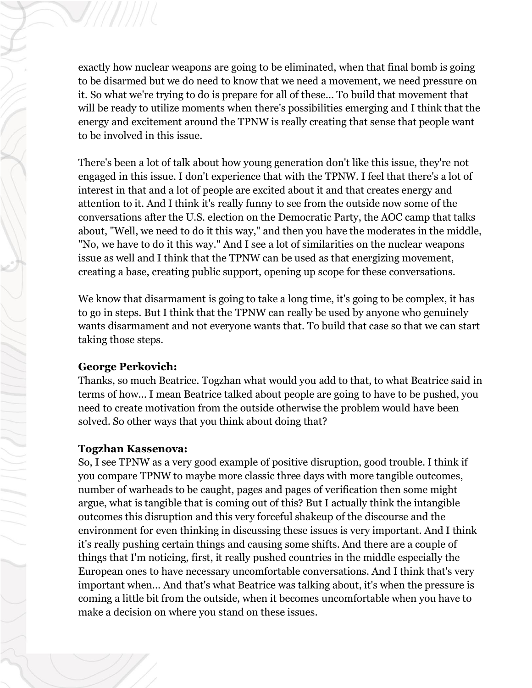exactly how nuclear weapons are going to be eliminated, when that final bomb is going to be disarmed but we do need to know that we need a movement, we need pressure on it. So what we're trying to do is prepare for all of these... To build that movement that will be ready to utilize moments when there's possibilities emerging and I think that the energy and excitement around the TPNW is really creating that sense that people want to be involved in this issue.

There's been a lot of talk about how young generation don't like this issue, they're not engaged in this issue. I don't experience that with the TPNW. I feel that there's a lot of interest in that and a lot of people are excited about it and that creates energy and attention to it. And I think it's really funny to see from the outside now some of the conversations after the U.S. election on the Democratic Party, the AOC camp that talks about, "Well, we need to do it this way," and then you have the moderates in the middle, "No, we have to do it this way." And I see a lot of similarities on the nuclear weapons issue as well and I think that the TPNW can be used as that energizing movement, creating a base, creating public support, opening up scope for these conversations.

We know that disarmament is going to take a long time, it's going to be complex, it has to go in steps. But I think that the TPNW can really be used by anyone who genuinely wants disarmament and not everyone wants that. To build that case so that we can start taking those steps.

#### **George Perkovich:**

Thanks, so much Beatrice. Togzhan what would you add to that, to what Beatrice said in terms of how... I mean Beatrice talked about people are going to have to be pushed, you need to create motivation from the outside otherwise the problem would have been solved. So other ways that you think about doing that?

# **Togzhan Kassenova:**

So, I see TPNW as a very good example of positive disruption, good trouble. I think if you compare TPNW to maybe more classic three days with more tangible outcomes, number of warheads to be caught, pages and pages of verification then some might argue, what is tangible that is coming out of this? But I actually think the intangible outcomes this disruption and this very forceful shakeup of the discourse and the environment for even thinking in discussing these issues is very important. And I think it's really pushing certain things and causing some shifts. And there are a couple of things that I'm noticing, first, it really pushed countries in the middle especially the European ones to have necessary uncomfortable conversations. And I think that's very important when... And that's what Beatrice was talking about, it's when the pressure is coming a little bit from the outside, when it becomes uncomfortable when you have to make a decision on where you stand on these issues.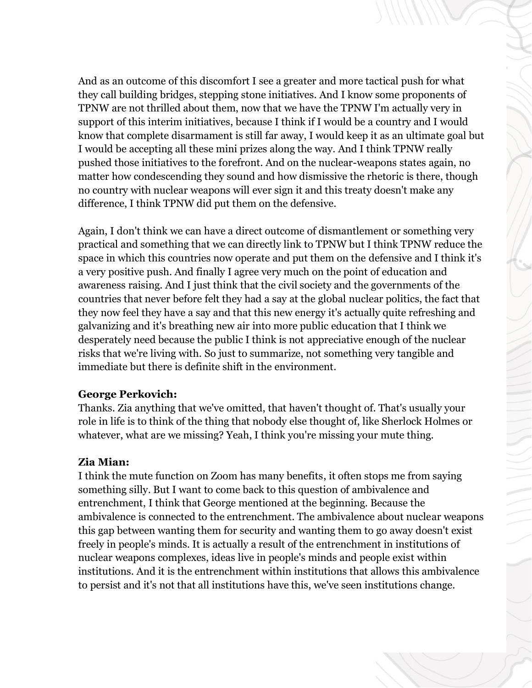And as an outcome of this discomfort I see a greater and more tactical push for what they call building bridges, stepping stone initiatives. And I know some proponents of TPNW are not thrilled about them, now that we have the TPNW I'm actually very in support of this interim initiatives, because I think if I would be a country and I would know that complete disarmament is still far away, I would keep it as an ultimate goal but I would be accepting all these mini prizes along the way. And I think TPNW really pushed those initiatives to the forefront. And on the nuclear-weapons states again, no matter how condescending they sound and how dismissive the rhetoric is there, though no country with nuclear weapons will ever sign it and this treaty doesn't make any difference, I think TPNW did put them on the defensive.

Again, I don't think we can have a direct outcome of dismantlement or something very practical and something that we can directly link to TPNW but I think TPNW reduce the space in which this countries now operate and put them on the defensive and I think it's a very positive push. And finally I agree very much on the point of education and awareness raising. And I just think that the civil society and the governments of the countries that never before felt they had a say at the global nuclear politics, the fact that they now feel they have a say and that this new energy it's actually quite refreshing and galvanizing and it's breathing new air into more public education that I think we desperately need because the public I think is not appreciative enough of the nuclear risks that we're living with. So just to summarize, not something very tangible and immediate but there is definite shift in the environment.

#### **George Perkovich:**

Thanks. Zia anything that we've omitted, that haven't thought of. That's usually your role in life is to think of the thing that nobody else thought of, like Sherlock Holmes or whatever, what are we missing? Yeah, I think you're missing your mute thing.

# **Zia Mian:**

I think the mute function on Zoom has many benefits, it often stops me from saying something silly. But I want to come back to this question of ambivalence and entrenchment, I think that George mentioned at the beginning. Because the ambivalence is connected to the entrenchment. The ambivalence about nuclear weapons this gap between wanting them for security and wanting them to go away doesn't exist freely in people's minds. It is actually a result of the entrenchment in institutions of nuclear weapons complexes, ideas live in people's minds and people exist within institutions. And it is the entrenchment within institutions that allows this ambivalence to persist and it's not that all institutions have this, we've seen institutions change.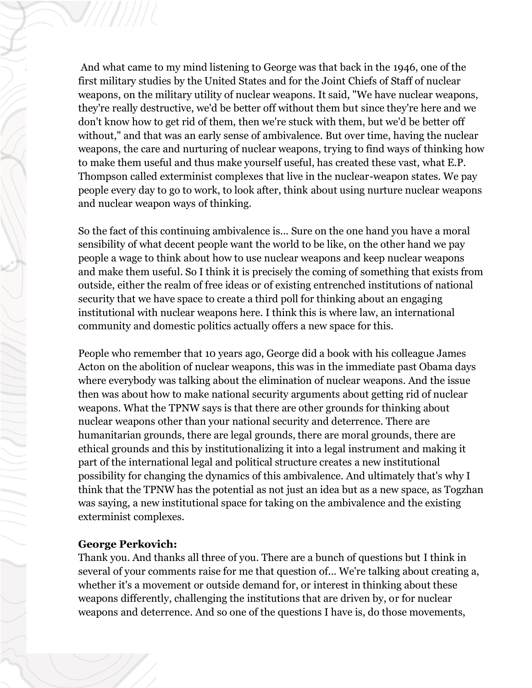And what came to my mind listening to George was that back in the 1946, one of the first military studies by the United States and for the Joint Chiefs of Staff of nuclear weapons, on the military utility of nuclear weapons. It said, "We have nuclear weapons, they're really destructive, we'd be better off without them but since they're here and we don't know how to get rid of them, then we're stuck with them, but we'd be better off without," and that was an early sense of ambivalence. But over time, having the nuclear weapons, the care and nurturing of nuclear weapons, trying to find ways of thinking how to make them useful and thus make yourself useful, has created these vast, what E.P. Thompson called exterminist complexes that live in the nuclear-weapon states. We pay people every day to go to work, to look after, think about using nurture nuclear weapons and nuclear weapon ways of thinking.

So the fact of this continuing ambivalence is... Sure on the one hand you have a moral sensibility of what decent people want the world to be like, on the other hand we pay people a wage to think about how to use nuclear weapons and keep nuclear weapons and make them useful. So I think it is precisely the coming of something that exists from outside, either the realm of free ideas or of existing entrenched institutions of national security that we have space to create a third poll for thinking about an engaging institutional with nuclear weapons here. I think this is where law, an international community and domestic politics actually offers a new space for this.

People who remember that 10 years ago, George did a book with his colleague James Acton on the abolition of nuclear weapons, this was in the immediate past Obama days where everybody was talking about the elimination of nuclear weapons. And the issue then was about how to make national security arguments about getting rid of nuclear weapons. What the TPNW says is that there are other grounds for thinking about nuclear weapons other than your national security and deterrence. There are humanitarian grounds, there are legal grounds, there are moral grounds, there are ethical grounds and this by institutionalizing it into a legal instrument and making it part of the international legal and political structure creates a new institutional possibility for changing the dynamics of this ambivalence. And ultimately that's why I think that the TPNW has the potential as not just an idea but as a new space, as Togzhan was saying, a new institutional space for taking on the ambivalence and the existing exterminist complexes.

# **George Perkovich:**

Thank you. And thanks all three of you. There are a bunch of questions but I think in several of your comments raise for me that question of... We're talking about creating a, whether it's a movement or outside demand for, or interest in thinking about these weapons differently, challenging the institutions that are driven by, or for nuclear weapons and deterrence. And so one of the questions I have is, do those movements,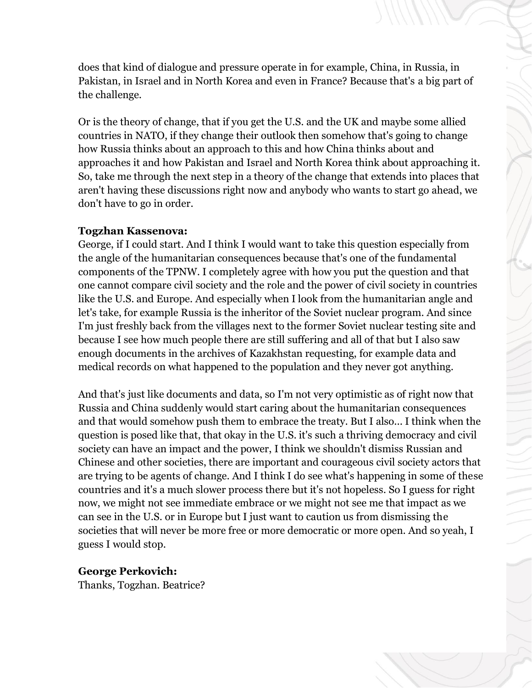does that kind of dialogue and pressure operate in for example, China, in Russia, in Pakistan, in Israel and in North Korea and even in France? Because that's a big part of the challenge.

Or is the theory of change, that if you get the U.S. and the UK and maybe some allied countries in NATO, if they change their outlook then somehow that's going to change how Russia thinks about an approach to this and how China thinks about and approaches it and how Pakistan and Israel and North Korea think about approaching it. So, take me through the next step in a theory of the change that extends into places that aren't having these discussions right now and anybody who wants to start go ahead, we don't have to go in order.

#### **Togzhan Kassenova:**

George, if I could start. And I think I would want to take this question especially from the angle of the humanitarian consequences because that's one of the fundamental components of the TPNW. I completely agree with how you put the question and that one cannot compare civil society and the role and the power of civil society in countries like the U.S. and Europe. And especially when I look from the humanitarian angle and let's take, for example Russia is the inheritor of the Soviet nuclear program. And since I'm just freshly back from the villages next to the former Soviet nuclear testing site and because I see how much people there are still suffering and all of that but I also saw enough documents in the archives of Kazakhstan requesting, for example data and medical records on what happened to the population and they never got anything.

And that's just like documents and data, so I'm not very optimistic as of right now that Russia and China suddenly would start caring about the humanitarian consequences and that would somehow push them to embrace the treaty. But I also... I think when the question is posed like that, that okay in the U.S. it's such a thriving democracy and civil society can have an impact and the power, I think we shouldn't dismiss Russian and Chinese and other societies, there are important and courageous civil society actors that are trying to be agents of change. And I think I do see what's happening in some of these countries and it's a much slower process there but it's not hopeless. So I guess for right now, we might not see immediate embrace or we might not see me that impact as we can see in the U.S. or in Europe but I just want to caution us from dismissing the societies that will never be more free or more democratic or more open. And so yeah, I guess I would stop.

#### **George Perkovich:**

Thanks, Togzhan. Beatrice?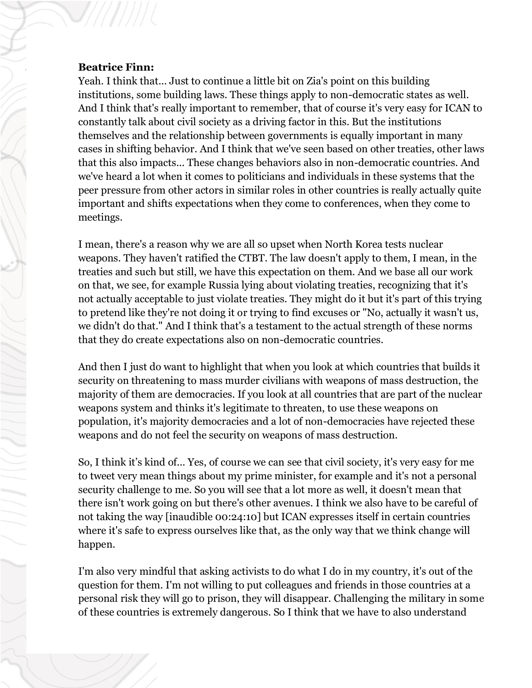#### **Beatrice Finn:**

Yeah. I think that... Just to continue a little bit on Zia's point on this building institutions, some building laws. These things apply to non-democratic states as well. And I think that's really important to remember, that of course it's very easy for ICAN to constantly talk about civil society as a driving factor in this. But the institutions themselves and the relationship between governments is equally important in many cases in shifting behavior. And I think that we've seen based on other treaties, other laws that this also impacts... These changes behaviors also in non-democratic countries. And we've heard a lot when it comes to politicians and individuals in these systems that the peer pressure from other actors in similar roles in other countries is really actually quite important and shifts expectations when they come to conferences, when they come to meetings.

I mean, there's a reason why we are all so upset when North Korea tests nuclear weapons. They haven't ratified the CTBT. The law doesn't apply to them, I mean, in the treaties and such but still, we have this expectation on them. And we base all our work on that, we see, for example Russia lying about violating treaties, recognizing that it's not actually acceptable to just violate treaties. They might do it but it's part of this trying to pretend like they're not doing it or trying to find excuses or "No, actually it wasn't us, we didn't do that." And I think that's a testament to the actual strength of these norms that they do create expectations also on non-democratic countries.

And then I just do want to highlight that when you look at which countries that builds it security on threatening to mass murder civilians with weapons of mass destruction, the majority of them are democracies. If you look at all countries that are part of the nuclear weapons system and thinks it's legitimate to threaten, to use these weapons on population, it's majority democracies and a lot of non-democracies have rejected these weapons and do not feel the security on weapons of mass destruction.

So, I think it's kind of... Yes, of course we can see that civil society, it's very easy for me to tweet very mean things about my prime minister, for example and it's not a personal security challenge to me. So you will see that a lot more as well, it doesn't mean that there isn't work going on but there's other avenues. I think we also have to be careful of not taking the way [inaudible 00:24:10] but ICAN expresses itself in certain countries where it's safe to express ourselves like that, as the only way that we think change will happen.

I'm also very mindful that asking activists to do what I do in my country, it's out of the question for them. I'm not willing to put colleagues and friends in those countries at a personal risk they will go to prison, they will disappear. Challenging the military in some of these countries is extremely dangerous. So I think that we have to also understand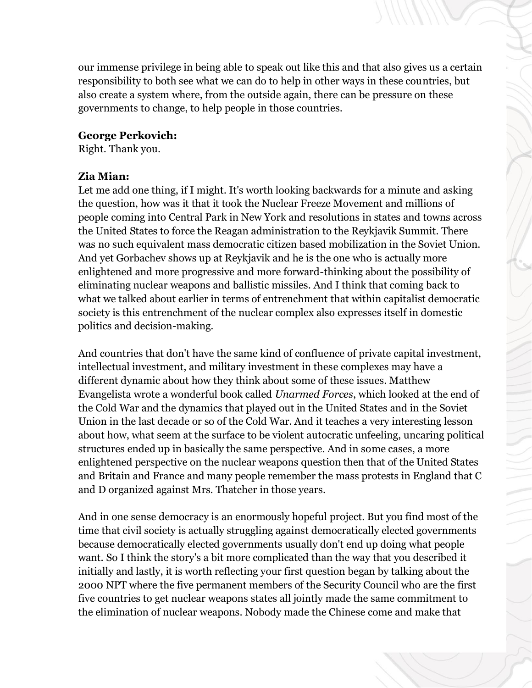our immense privilege in being able to speak out like this and that also gives us a certain responsibility to both see what we can do to help in other ways in these countries, but also create a system where, from the outside again, there can be pressure on these governments to change, to help people in those countries.

#### **George Perkovich:**

Right. Thank you.

#### **Zia Mian:**

Let me add one thing, if I might. It's worth looking backwards for a minute and asking the question, how was it that it took the Nuclear Freeze Movement and millions of people coming into Central Park in New York and resolutions in states and towns across the United States to force the Reagan administration to the Reykjavik Summit. There was no such equivalent mass democratic citizen based mobilization in the Soviet Union. And yet Gorbachev shows up at Reykjavik and he is the one who is actually more enlightened and more progressive and more forward-thinking about the possibility of eliminating nuclear weapons and ballistic missiles. And I think that coming back to what we talked about earlier in terms of entrenchment that within capitalist democratic society is this entrenchment of the nuclear complex also expresses itself in domestic politics and decision-making.

And countries that don't have the same kind of confluence of private capital investment, intellectual investment, and military investment in these complexes may have a different dynamic about how they think about some of these issues. Matthew Evangelista wrote a wonderful book called *Unarmed Forces*, which looked at the end of the Cold War and the dynamics that played out in the United States and in the Soviet Union in the last decade or so of the Cold War. And it teaches a very interesting lesson about how, what seem at the surface to be violent autocratic unfeeling, uncaring political structures ended up in basically the same perspective. And in some cases, a more enlightened perspective on the nuclear weapons question then that of the United States and Britain and France and many people remember the mass protests in England that C and D organized against Mrs. Thatcher in those years.

And in one sense democracy is an enormously hopeful project. But you find most of the time that civil society is actually struggling against democratically elected governments because democratically elected governments usually don't end up doing what people want. So I think the story's a bit more complicated than the way that you described it initially and lastly, it is worth reflecting your first question began by talking about the 2000 NPT where the five permanent members of the Security Council who are the first five countries to get nuclear weapons states all jointly made the same commitment to the elimination of nuclear weapons. Nobody made the Chinese come and make that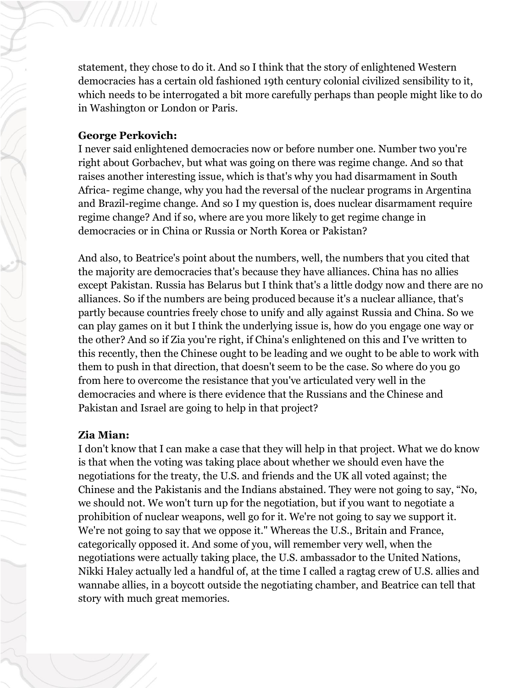statement, they chose to do it. And so I think that the story of enlightened Western democracies has a certain old fashioned 19th century colonial civilized sensibility to it, which needs to be interrogated a bit more carefully perhaps than people might like to do in Washington or London or Paris.

#### **George Perkovich:**

I never said enlightened democracies now or before number one. Number two you're right about Gorbachev, but what was going on there was regime change. And so that raises another interesting issue, which is that's why you had disarmament in South Africa- regime change, why you had the reversal of the nuclear programs in Argentina and Brazil-regime change. And so I my question is, does nuclear disarmament require regime change? And if so, where are you more likely to get regime change in democracies or in China or Russia or North Korea or Pakistan?

And also, to Beatrice's point about the numbers, well, the numbers that you cited that the majority are democracies that's because they have alliances. China has no allies except Pakistan. Russia has Belarus but I think that's a little dodgy now and there are no alliances. So if the numbers are being produced because it's a nuclear alliance, that's partly because countries freely chose to unify and ally against Russia and China. So we can play games on it but I think the underlying issue is, how do you engage one way or the other? And so if Zia you're right, if China's enlightened on this and I've written to this recently, then the Chinese ought to be leading and we ought to be able to work with them to push in that direction, that doesn't seem to be the case. So where do you go from here to overcome the resistance that you've articulated very well in the democracies and where is there evidence that the Russians and the Chinese and Pakistan and Israel are going to help in that project?

# **Zia Mian:**

I don't know that I can make a case that they will help in that project. What we do know is that when the voting was taking place about whether we should even have the negotiations for the treaty, the U.S. and friends and the UK all voted against; the Chinese and the Pakistanis and the Indians abstained. They were not going to say, "No, we should not. We won't turn up for the negotiation, but if you want to negotiate a prohibition of nuclear weapons, well go for it. We're not going to say we support it. We're not going to say that we oppose it." Whereas the U.S., Britain and France, categorically opposed it. And some of you, will remember very well, when the negotiations were actually taking place, the U.S. ambassador to the United Nations, Nikki Haley actually led a handful of, at the time I called a ragtag crew of U.S. allies and wannabe allies, in a boycott outside the negotiating chamber, and Beatrice can tell that story with much great memories.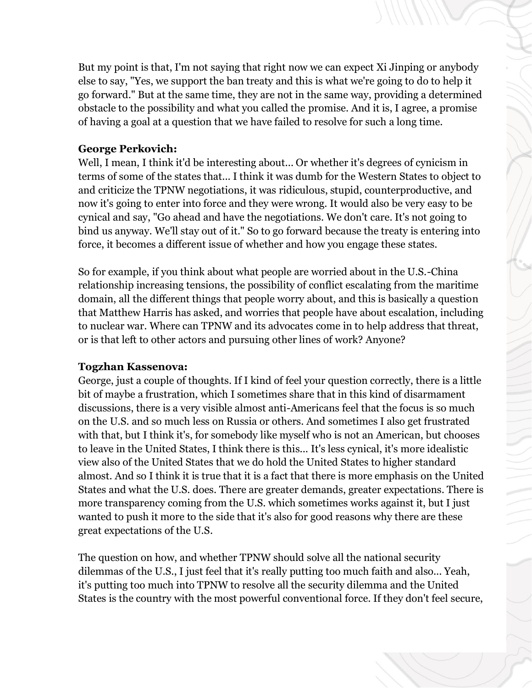But my point is that, I'm not saying that right now we can expect Xi Jinping or anybody else to say, "Yes, we support the ban treaty and this is what we're going to do to help it go forward." But at the same time, they are not in the same way, providing a determined obstacle to the possibility and what you called the promise. And it is, I agree, a promise of having a goal at a question that we have failed to resolve for such a long time.

#### **George Perkovich:**

Well, I mean, I think it'd be interesting about... Or whether it's degrees of cynicism in terms of some of the states that... I think it was dumb for the Western States to object to and criticize the TPNW negotiations, it was ridiculous, stupid, counterproductive, and now it's going to enter into force and they were wrong. It would also be very easy to be cynical and say, "Go ahead and have the negotiations. We don't care. It's not going to bind us anyway. We'll stay out of it." So to go forward because the treaty is entering into force, it becomes a different issue of whether and how you engage these states.

So for example, if you think about what people are worried about in the U.S.-China relationship increasing tensions, the possibility of conflict escalating from the maritime domain, all the different things that people worry about, and this is basically a question that Matthew Harris has asked, and worries that people have about escalation, including to nuclear war. Where can TPNW and its advocates come in to help address that threat, or is that left to other actors and pursuing other lines of work? Anyone?

#### **Togzhan Kassenova:**

George, just a couple of thoughts. If I kind of feel your question correctly, there is a little bit of maybe a frustration, which I sometimes share that in this kind of disarmament discussions, there is a very visible almost anti-Americans feel that the focus is so much on the U.S. and so much less on Russia or others. And sometimes I also get frustrated with that, but I think it's, for somebody like myself who is not an American, but chooses to leave in the United States, I think there is this... It's less cynical, it's more idealistic view also of the United States that we do hold the United States to higher standard almost. And so I think it is true that it is a fact that there is more emphasis on the United States and what the U.S. does. There are greater demands, greater expectations. There is more transparency coming from the U.S. which sometimes works against it, but I just wanted to push it more to the side that it's also for good reasons why there are these great expectations of the U.S.

The question on how, and whether TPNW should solve all the national security dilemmas of the U.S., I just feel that it's really putting too much faith and also... Yeah, it's putting too much into TPNW to resolve all the security dilemma and the United States is the country with the most powerful conventional force. If they don't feel secure,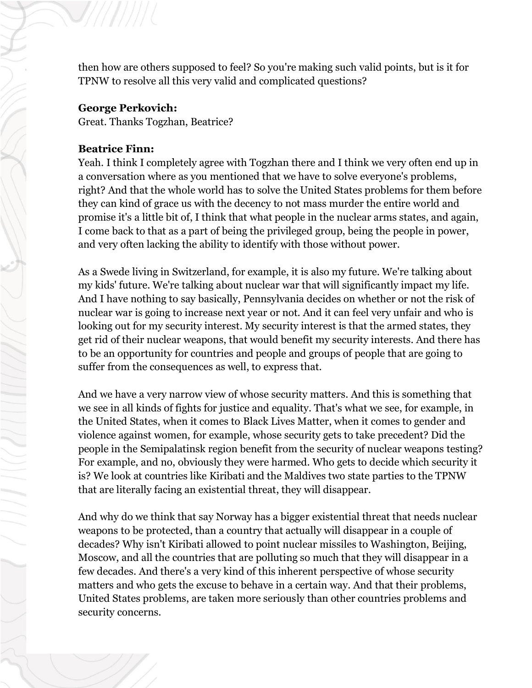then how are others supposed to feel? So you're making such valid points, but is it for TPNW to resolve all this very valid and complicated questions?

#### **George Perkovich:**

Great. Thanks Togzhan, Beatrice?

#### **Beatrice Finn:**

Yeah. I think I completely agree with Togzhan there and I think we very often end up in a conversation where as you mentioned that we have to solve everyone's problems, right? And that the whole world has to solve the United States problems for them before they can kind of grace us with the decency to not mass murder the entire world and promise it's a little bit of, I think that what people in the nuclear arms states, and again, I come back to that as a part of being the privileged group, being the people in power, and very often lacking the ability to identify with those without power.

As a Swede living in Switzerland, for example, it is also my future. We're talking about my kids' future. We're talking about nuclear war that will significantly impact my life. And I have nothing to say basically, Pennsylvania decides on whether or not the risk of nuclear war is going to increase next year or not. And it can feel very unfair and who is looking out for my security interest. My security interest is that the armed states, they get rid of their nuclear weapons, that would benefit my security interests. And there has to be an opportunity for countries and people and groups of people that are going to suffer from the consequences as well, to express that.

And we have a very narrow view of whose security matters. And this is something that we see in all kinds of fights for justice and equality. That's what we see, for example, in the United States, when it comes to Black Lives Matter, when it comes to gender and violence against women, for example, whose security gets to take precedent? Did the people in the Semipalatinsk region benefit from the security of nuclear weapons testing? For example, and no, obviously they were harmed. Who gets to decide which security it is? We look at countries like Kiribati and the Maldives two state parties to the TPNW that are literally facing an existential threat, they will disappear.

And why do we think that say Norway has a bigger existential threat that needs nuclear weapons to be protected, than a country that actually will disappear in a couple of decades? Why isn't Kiribati allowed to point nuclear missiles to Washington, Beijing, Moscow, and all the countries that are polluting so much that they will disappear in a few decades. And there's a very kind of this inherent perspective of whose security matters and who gets the excuse to behave in a certain way. And that their problems, United States problems, are taken more seriously than other countries problems and security concerns.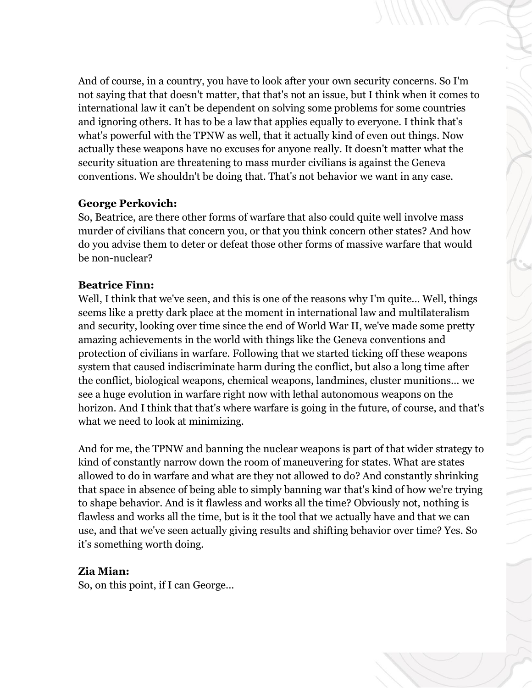And of course, in a country, you have to look after your own security concerns. So I'm not saying that that doesn't matter, that that's not an issue, but I think when it comes to international law it can't be dependent on solving some problems for some countries and ignoring others. It has to be a law that applies equally to everyone. I think that's what's powerful with the TPNW as well, that it actually kind of even out things. Now actually these weapons have no excuses for anyone really. It doesn't matter what the security situation are threatening to mass murder civilians is against the Geneva conventions. We shouldn't be doing that. That's not behavior we want in any case.

#### **George Perkovich:**

So, Beatrice, are there other forms of warfare that also could quite well involve mass murder of civilians that concern you, or that you think concern other states? And how do you advise them to deter or defeat those other forms of massive warfare that would be non-nuclear?

# **Beatrice Finn:**

Well, I think that we've seen, and this is one of the reasons why I'm quite... Well, things seems like a pretty dark place at the moment in international law and multilateralism and security, looking over time since the end of World War II, we've made some pretty amazing achievements in the world with things like the Geneva conventions and protection of civilians in warfare. Following that we started ticking off these weapons system that caused indiscriminate harm during the conflict, but also a long time after the conflict, biological weapons, chemical weapons, landmines, cluster munitions… we see a huge evolution in warfare right now with lethal autonomous weapons on the horizon. And I think that that's where warfare is going in the future, of course, and that's what we need to look at minimizing.

And for me, the TPNW and banning the nuclear weapons is part of that wider strategy to kind of constantly narrow down the room of maneuvering for states. What are states allowed to do in warfare and what are they not allowed to do? And constantly shrinking that space in absence of being able to simply banning war that's kind of how we're trying to shape behavior. And is it flawless and works all the time? Obviously not, nothing is flawless and works all the time, but is it the tool that we actually have and that we can use, and that we've seen actually giving results and shifting behavior over time? Yes. So it's something worth doing.

# **Zia Mian:**

So, on this point, if I can George...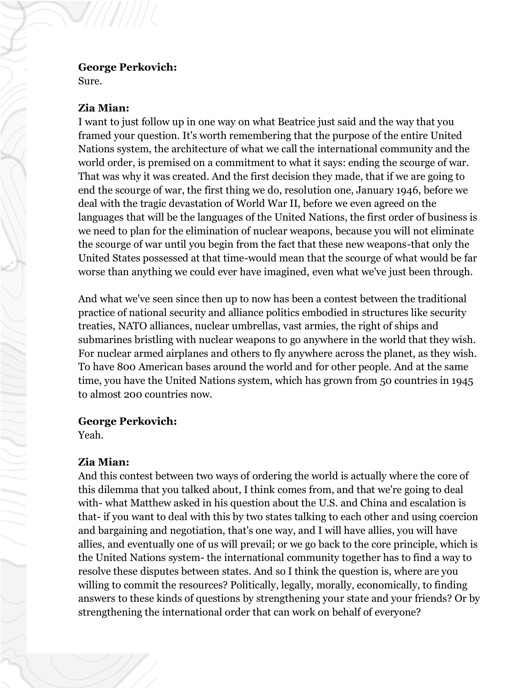#### **George Perkovich:**

Sure.

#### **Zia Mian:**

I want to just follow up in one way on what Beatrice just said and the way that you framed your question. It's worth remembering that the purpose of the entire United Nations system, the architecture of what we call the international community and the world order, is premised on a commitment to what it says: ending the scourge of war. That was why it was created. And the first decision they made, that if we are going to end the scourge of war, the first thing we do, resolution one, January 1946, before we deal with the tragic devastation of World War II, before we even agreed on the languages that will be the languages of the United Nations, the first order of business is we need to plan for the elimination of nuclear weapons, because you will not eliminate the scourge of war until you begin from the fact that these new weapons-that only the United States possessed at that time-would mean that the scourge of what would be far worse than anything we could ever have imagined, even what we've just been through.

And what we've seen since then up to now has been a contest between the traditional practice of national security and alliance politics embodied in structures like security treaties, NATO alliances, nuclear umbrellas, vast armies, the right of ships and submarines bristling with nuclear weapons to go anywhere in the world that they wish. For nuclear armed airplanes and others to fly anywhere across the planet, as they wish. To have 800 American bases around the world and for other people. And at the same time, you have the United Nations system, which has grown from 50 countries in 1945 to almost 200 countries now.

#### **George Perkovich:**

Yeah.

# **Zia Mian:**

And this contest between two ways of ordering the world is actually where the core of this dilemma that you talked about, I think comes from, and that we're going to deal with- what Matthew asked in his question about the U.S. and China and escalation is that- if you want to deal with this by two states talking to each other and using coercion and bargaining and negotiation, that's one way, and I will have allies, you will have allies, and eventually one of us will prevail; or we go back to the core principle, which is the United Nations system- the international community together has to find a way to resolve these disputes between states. And so I think the question is, where are you willing to commit the resources? Politically, legally, morally, economically, to finding answers to these kinds of questions by strengthening your state and your friends? Or by strengthening the international order that can work on behalf of everyone?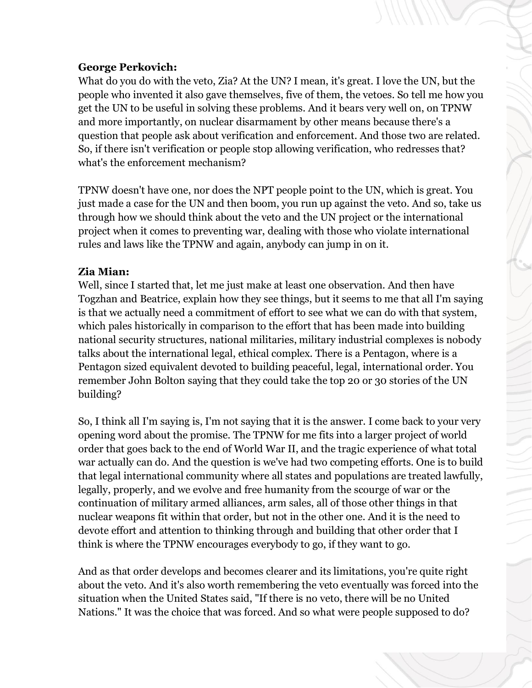# **George Perkovich:**

What do you do with the veto, Zia? At the UN? I mean, it's great. I love the UN, but the people who invented it also gave themselves, five of them, the vetoes. So tell me how you get the UN to be useful in solving these problems. And it bears very well on, on TPNW and more importantly, on nuclear disarmament by other means because there's a question that people ask about verification and enforcement. And those two are related. So, if there isn't verification or people stop allowing verification, who redresses that? what's the enforcement mechanism?

TPNW doesn't have one, nor does the NPT people point to the UN, which is great. You just made a case for the UN and then boom, you run up against the veto. And so, take us through how we should think about the veto and the UN project or the international project when it comes to preventing war, dealing with those who violate international rules and laws like the TPNW and again, anybody can jump in on it.

# **Zia Mian:**

Well, since I started that, let me just make at least one observation. And then have Togzhan and Beatrice, explain how they see things, but it seems to me that all I'm saying is that we actually need a commitment of effort to see what we can do with that system, which pales historically in comparison to the effort that has been made into building national security structures, national militaries, military industrial complexes is nobody talks about the international legal, ethical complex. There is a Pentagon, where is a Pentagon sized equivalent devoted to building peaceful, legal, international order. You remember John Bolton saying that they could take the top 20 or 30 stories of the UN building?

So, I think all I'm saying is, I'm not saying that it is the answer. I come back to your very opening word about the promise. The TPNW for me fits into a larger project of world order that goes back to the end of World War II, and the tragic experience of what total war actually can do. And the question is we've had two competing efforts. One is to build that legal international community where all states and populations are treated lawfully, legally, properly, and we evolve and free humanity from the scourge of war or the continuation of military armed alliances, arm sales, all of those other things in that nuclear weapons fit within that order, but not in the other one. And it is the need to devote effort and attention to thinking through and building that other order that I think is where the TPNW encourages everybody to go, if they want to go.

And as that order develops and becomes clearer and its limitations, you're quite right about the veto. And it's also worth remembering the veto eventually was forced into the situation when the United States said, "If there is no veto, there will be no United Nations." It was the choice that was forced. And so what were people supposed to do?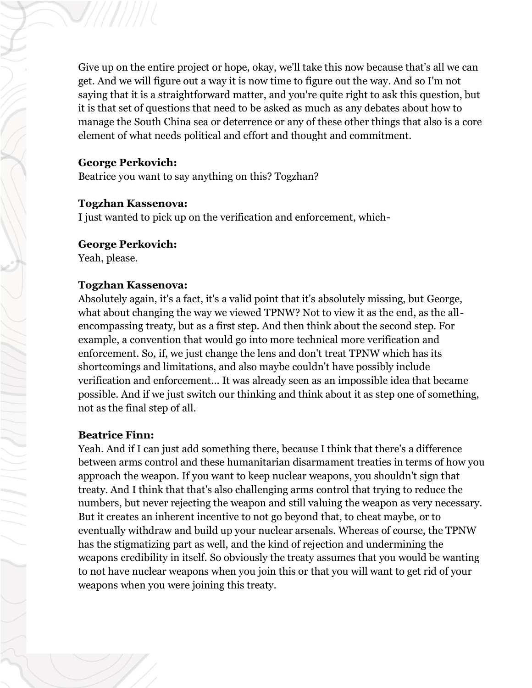Give up on the entire project or hope, okay, we'll take this now because that's all we can get. And we will figure out a way it is now time to figure out the way. And so I'm not saying that it is a straightforward matter, and you're quite right to ask this question, but it is that set of questions that need to be asked as much as any debates about how to manage the South China sea or deterrence or any of these other things that also is a core element of what needs political and effort and thought and commitment.

#### **George Perkovich:**

Beatrice you want to say anything on this? Togzhan?

#### **Togzhan Kassenova:**

I just wanted to pick up on the verification and enforcement, which-

#### **George Perkovich:**

Yeah, please.

#### **Togzhan Kassenova:**

Absolutely again, it's a fact, it's a valid point that it's absolutely missing, but George, what about changing the way we viewed TPNW? Not to view it as the end, as the allencompassing treaty, but as a first step. And then think about the second step. For example, a convention that would go into more technical more verification and enforcement. So, if, we just change the lens and don't treat TPNW which has its shortcomings and limitations, and also maybe couldn't have possibly include verification and enforcement... It was already seen as an impossible idea that became possible. And if we just switch our thinking and think about it as step one of something, not as the final step of all.

#### **Beatrice Finn:**

Yeah. And if I can just add something there, because I think that there's a difference between arms control and these humanitarian disarmament treaties in terms of how you approach the weapon. If you want to keep nuclear weapons, you shouldn't sign that treaty. And I think that that's also challenging arms control that trying to reduce the numbers, but never rejecting the weapon and still valuing the weapon as very necessary. But it creates an inherent incentive to not go beyond that, to cheat maybe, or to eventually withdraw and build up your nuclear arsenals. Whereas of course, the TPNW has the stigmatizing part as well, and the kind of rejection and undermining the weapons credibility in itself. So obviously the treaty assumes that you would be wanting to not have nuclear weapons when you join this or that you will want to get rid of your weapons when you were joining this treaty.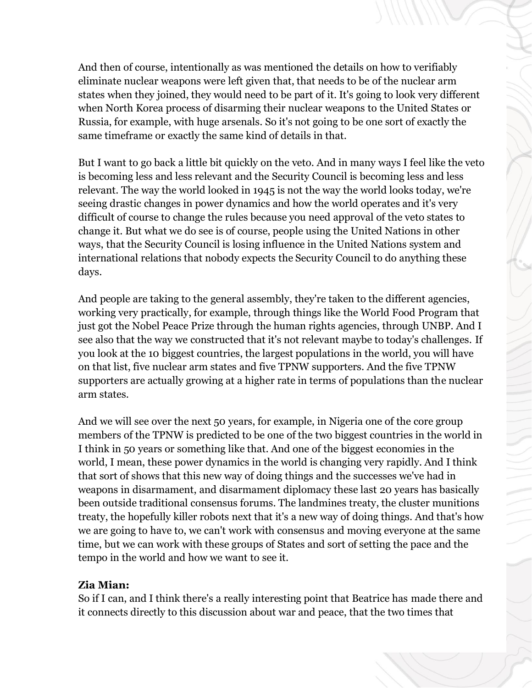And then of course, intentionally as was mentioned the details on how to verifiably eliminate nuclear weapons were left given that, that needs to be of the nuclear arm states when they joined, they would need to be part of it. It's going to look very different when North Korea process of disarming their nuclear weapons to the United States or Russia, for example, with huge arsenals. So it's not going to be one sort of exactly the same timeframe or exactly the same kind of details in that.

But I want to go back a little bit quickly on the veto. And in many ways I feel like the veto is becoming less and less relevant and the Security Council is becoming less and less relevant. The way the world looked in 1945 is not the way the world looks today, we're seeing drastic changes in power dynamics and how the world operates and it's very difficult of course to change the rules because you need approval of the veto states to change it. But what we do see is of course, people using the United Nations in other ways, that the Security Council is losing influence in the United Nations system and international relations that nobody expects the Security Council to do anything these days.

And people are taking to the general assembly, they're taken to the different agencies, working very practically, for example, through things like the World Food Program that just got the Nobel Peace Prize through the human rights agencies, through UNBP. And I see also that the way we constructed that it's not relevant maybe to today's challenges. If you look at the 10 biggest countries, the largest populations in the world, you will have on that list, five nuclear arm states and five TPNW supporters. And the five TPNW supporters are actually growing at a higher rate in terms of populations than the nuclear arm states.

And we will see over the next 50 years, for example, in Nigeria one of the core group members of the TPNW is predicted to be one of the two biggest countries in the world in I think in 50 years or something like that. And one of the biggest economies in the world, I mean, these power dynamics in the world is changing very rapidly. And I think that sort of shows that this new way of doing things and the successes we've had in weapons in disarmament, and disarmament diplomacy these last 20 years has basically been outside traditional consensus forums. The landmines treaty, the cluster munitions treaty, the hopefully killer robots next that it's a new way of doing things. And that's how we are going to have to, we can't work with consensus and moving everyone at the same time, but we can work with these groups of States and sort of setting the pace and the tempo in the world and how we want to see it.

# **Zia Mian:**

So if I can, and I think there's a really interesting point that Beatrice has made there and it connects directly to this discussion about war and peace, that the two times that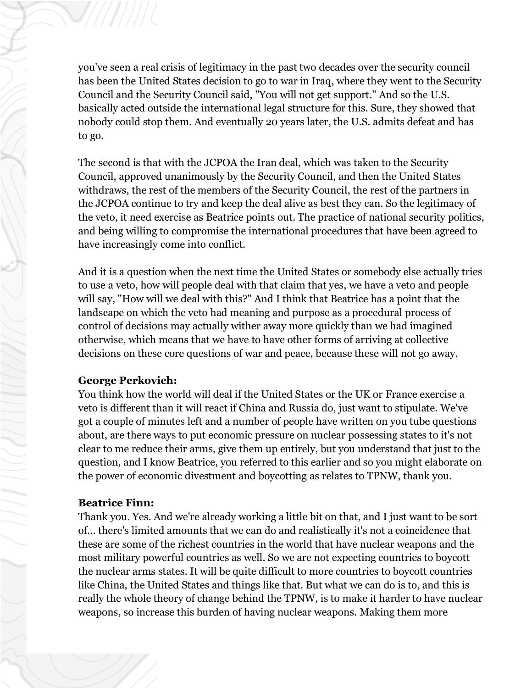you've seen a real crisis of legitimacy in the past two decades over the security council has been the United States decision to go to war in Iraq, where they went to the Security Council and the Security Council said, "You will not get support." And so the U.S. basically acted outside the international legal structure for this. Sure, they showed that nobody could stop them. And eventually 20 years later, the U.S. admits defeat and has to go.

The second is that with the JCPOA the Iran deal, which was taken to the Security Council, approved unanimously by the Security Council, and then the United States withdraws, the rest of the members of the Security Council, the rest of the partners in the JCPOA continue to try and keep the deal alive as best they can. So the legitimacy of the veto, it need exercise as Beatrice points out. The practice of national security politics, and being willing to compromise the international procedures that have been agreed to have increasingly come into conflict.

And it is a question when the next time the United States or somebody else actually tries to use a veto, how will people deal with that claim that yes, we have a veto and people will say, "How will we deal with this?" And I think that Beatrice has a point that the landscape on which the veto had meaning and purpose as a procedural process of control of decisions may actually wither away more quickly than we had imagined otherwise, which means that we have to have other forms of arriving at collective decisions on these core questions of war and peace, because these will not go away.

#### **George Perkovich:**

You think how the world will deal if the United States or the UK or France exercise a veto is different than it will react if China and Russia do, just want to stipulate. We've got a couple of minutes left and a number of people have written on you tube questions about, are there ways to put economic pressure on nuclear possessing states to it's not clear to me reduce their arms, give them up entirely, but you understand that just to the question, and I know Beatrice, you referred to this earlier and so you might elaborate on the power of economic divestment and boycotting as relates to TPNW, thank you.

# **Beatrice Finn:**

Thank you. Yes. And we're already working a little bit on that, and I just want to be sort of... there's limited amounts that we can do and realistically it's not a coincidence that these are some of the richest countries in the world that have nuclear weapons and the most military powerful countries as well. So we are not expecting countries to boycott the nuclear arms states. It will be quite difficult to more countries to boycott countries like China, the United States and things like that. But what we can do is to, and this is really the whole theory of change behind the TPNW, is to make it harder to have nuclear weapons, so increase this burden of having nuclear weapons. Making them more